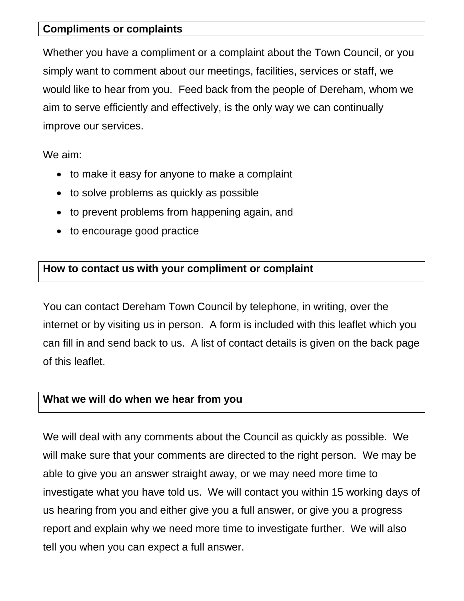#### **Compliments or complaints**

Whether you have a compliment or a complaint about the Town Council, or you simply want to comment about our meetings, facilities, services or staff, we would like to hear from you. Feed back from the people of Dereham, whom we aim to serve efficiently and effectively, is the only way we can continually improve our services.

We aim:

- to make it easy for anyone to make a complaint
- to solve problems as quickly as possible
- to prevent problems from happening again, and
- to encourage good practice

### **How to contact us with your compliment or complaint**

You can contact Dereham Town Council by telephone, in writing, over the internet or by visiting us in person. A form is included with this leaflet which you can fill in and send back to us. A list of contact details is given on the back page of this leaflet.

### **What we will do when we hear from you**

We will deal with any comments about the Council as quickly as possible. We will make sure that your comments are directed to the right person. We may be able to give you an answer straight away, or we may need more time to investigate what you have told us. We will contact you within 15 working days of us hearing from you and either give you a full answer, or give you a progress report and explain why we need more time to investigate further. We will also tell you when you can expect a full answer.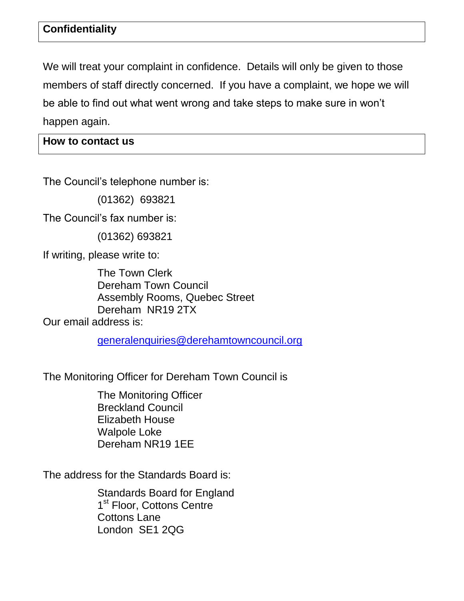# **Confidentiality**

We will treat your complaint in confidence. Details will only be given to those members of staff directly concerned. If you have a complaint, we hope we will be able to find out what went wrong and take steps to make sure in won't happen again.

**How to contact us**

The Council's telephone number is:

(01362) 693821

The Council's fax number is:

(01362) 693821

If writing, please write to:

The Town Clerk Dereham Town Council Assembly Rooms, Quebec Street Dereham NR19 2TX Our email address is:

[generalenquiries@derehamtowncouncil.org](mailto:generalenquiries@derehamtowncouncil.org)

The Monitoring Officer for Dereham Town Council is

The Monitoring Officer Breckland Council Elizabeth House Walpole Loke Dereham NR19 1EE

The address for the Standards Board is:

Standards Board for England 1<sup>st</sup> Floor, Cottons Centre Cottons Lane London SE1 2QG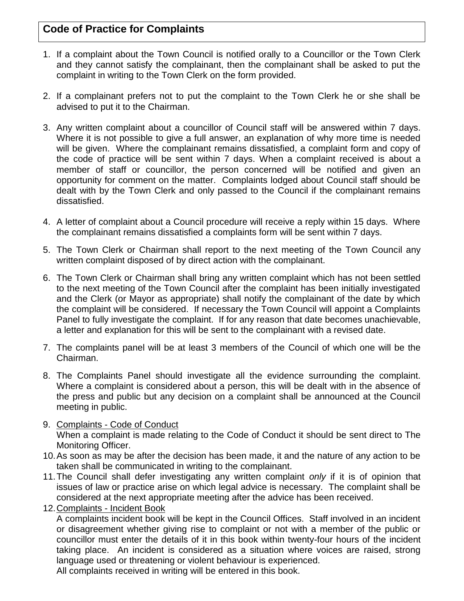# **Code of Practice for Complaints**

- 1. If a complaint about the Town Council is notified orally to a Councillor or the Town Clerk and they cannot satisfy the complainant, then the complainant shall be asked to put the complaint in writing to the Town Clerk on the form provided.
- 2. If a complainant prefers not to put the complaint to the Town Clerk he or she shall be advised to put it to the Chairman.
- 3. Any written complaint about a councillor of Council staff will be answered within 7 days. Where it is not possible to give a full answer, an explanation of why more time is needed will be given. Where the complainant remains dissatisfied, a complaint form and copy of the code of practice will be sent within 7 days. When a complaint received is about a member of staff or councillor, the person concerned will be notified and given an opportunity for comment on the matter. Complaints lodged about Council staff should be dealt with by the Town Clerk and only passed to the Council if the complainant remains dissatisfied.
- 4. A letter of complaint about a Council procedure will receive a reply within 15 days. Where the complainant remains dissatisfied a complaints form will be sent within 7 days.
- 5. The Town Clerk or Chairman shall report to the next meeting of the Town Council any written complaint disposed of by direct action with the complainant.
- 6. The Town Clerk or Chairman shall bring any written complaint which has not been settled to the next meeting of the Town Council after the complaint has been initially investigated and the Clerk (or Mayor as appropriate) shall notify the complainant of the date by which the complaint will be considered. If necessary the Town Council will appoint a Complaints Panel to fully investigate the complaint. If for any reason that date becomes unachievable, a letter and explanation for this will be sent to the complainant with a revised date.
- 7. The complaints panel will be at least 3 members of the Council of which one will be the Chairman.
- 8. The Complaints Panel should investigate all the evidence surrounding the complaint. Where a complaint is considered about a person, this will be dealt with in the absence of the press and public but any decision on a complaint shall be announced at the Council meeting in public.
- 9. Complaints Code of Conduct When a complaint is made relating to the Code of Conduct it should be sent direct to The Monitoring Officer.
- 10.As soon as may be after the decision has been made, it and the nature of any action to be taken shall be communicated in writing to the complainant.
- 11.The Council shall defer investigating any written complaint *only* if it is of opinion that issues of law or practice arise on which legal advice is necessary. The complaint shall be considered at the next appropriate meeting after the advice has been received.
- 12.Complaints Incident Book

A complaints incident book will be kept in the Council Offices. Staff involved in an incident or disagreement whether giving rise to complaint or not with a member of the public or councillor must enter the details of it in this book within twenty-four hours of the incident taking place. An incident is considered as a situation where voices are raised, strong language used or threatening or violent behaviour is experienced.

All complaints received in writing will be entered in this book.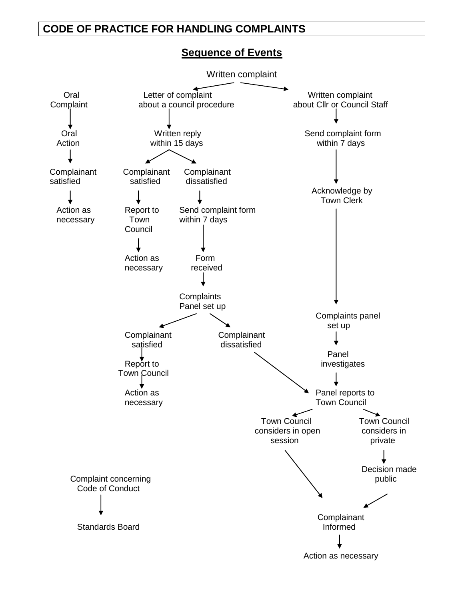### **CODE OF PRACTICE FOR HANDLING COMPLAINTS**

#### **Sequence of Events**

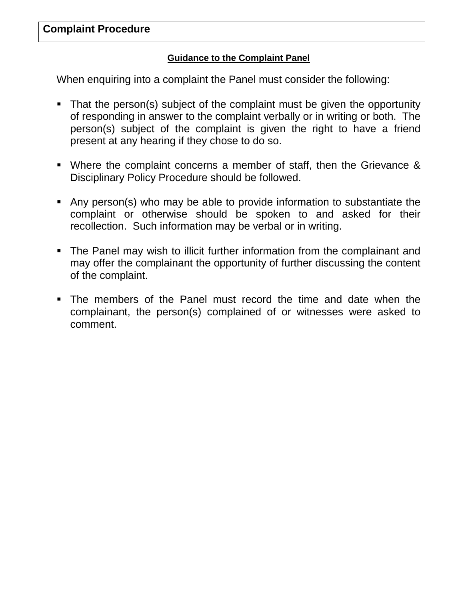#### **Guidance to the Complaint Panel**

When enquiring into a complaint the Panel must consider the following:

- That the person(s) subject of the complaint must be given the opportunity of responding in answer to the complaint verbally or in writing or both. The person(s) subject of the complaint is given the right to have a friend present at any hearing if they chose to do so.
- Where the complaint concerns a member of staff, then the Grievance & Disciplinary Policy Procedure should be followed.
- Any person(s) who may be able to provide information to substantiate the complaint or otherwise should be spoken to and asked for their recollection. Such information may be verbal or in writing.
- The Panel may wish to illicit further information from the complainant and may offer the complainant the opportunity of further discussing the content of the complaint.
- The members of the Panel must record the time and date when the complainant, the person(s) complained of or witnesses were asked to comment.